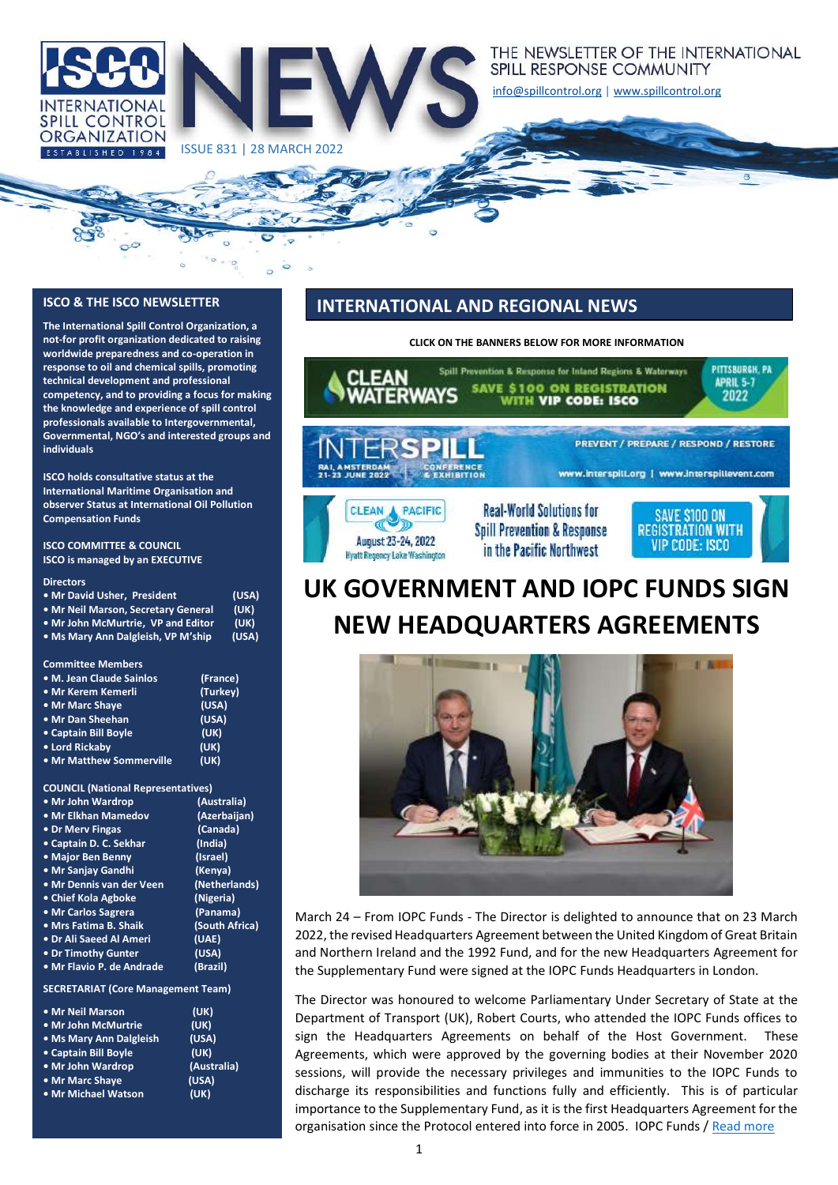

ISSUE 831 | 28 MARCH 2022

#### THE NEWSLETTER OF THE INTERNATIONAL SPILL RESPONSE COMMUNITY

[info@spillcontrol.org](mailto:info@spillcontrol.org) [| www.spillcontrol.org](http://www.spillcontrol.org/)

#### **ISCO & THE ISCO NEWSLETTER**

**The International Spill Control Organization, a not-for profit organization dedicated to raising worldwide preparedness and co-operation in response to oil and chemical spills, promoting technical development and professional competency, and to providing a focus for making the knowledge and experience of spill control professionals available to Intergovernmental, Governmental, NGO's and interested groups and individuals**

**ISCO holds consultative status at the International Maritime Organisation and observer Status at International Oil Pollution Compensation Funds**

**ISCO COMMITTEE & COUNCIL ISCO is managed by an EXECUTIVE** 

#### **Directors**

| • Mr David Usher, President         | (USA) |
|-------------------------------------|-------|
| • Mr Neil Marson, Secretary General | (UK)  |
| • Mr John McMurtrie. VP and Editor  | (UK)  |
| . Ms Mary Ann Dalgleish, VP M'ship  | (USA) |

**Committee Members**

| • M. Jean Claude Sainlos | (France) |
|--------------------------|----------|
| • Mr Kerem Kemerli       | (Turkey) |
| • Mr Marc Shaye          | (USA)    |
| . Mr Dan Sheehan         | (USA)    |
| • Captain Bill Boyle     | (UK)     |
| • Lord Rickaby           | (UK)     |
| • Mr Matthew Sommerville | (UK)     |

#### **COUNCIL (National Representatives)**

| • Mr John Wardrop         | (Australia)    |
|---------------------------|----------------|
| • Mr Elkhan Mamedov       | (Azerbaijan)   |
| • Dr Merv Fingas          | (Canada)       |
| • Captain D. C. Sekhar    | (India)        |
| • Major Ben Benny         | (Israel)       |
| • Mr Sanjay Gandhi        | (Kenya)        |
| • Mr Dennis van der Veen  | (Netherlands)  |
| • Chief Kola Agboke       | (Nigeria)      |
| • Mr Carlos Sagrera       | (Panama)       |
| • Mrs Fatima B. Shaik     | (South Africa) |
| • Dr Ali Saeed Al Ameri   | (UAE)          |
| . Dr Timothy Gunter       | (USA)          |
| · Mr Flavio P. de Andrade | (Brazil)       |
|                           |                |

**SECRETARIAT (Core Management Team)**

| . Mr Neil Marson        | (UK)        |
|-------------------------|-------------|
| • Mr John McMurtrie     | (UK)        |
| • Ms Mary Ann Dalgleish | (USA)       |
| • Captain Bill Boyle    | (UK)        |
| • Mr John Wardrop       | (Australia) |
| • Mr Marc Shave         | (USA)       |
| • Mr Michael Watson     | (UK)        |

#### **INTERNATIONAL AND REGIONAL NEWS**

**CLICK ON THE BANNERS BELOW FOR MORE INFORMATION**



# **UK GOVERNMENT AND IOPC FUNDS SIGN NEW HEADQUARTERS AGREEMENTS**



March 24 – From IOPC Funds - The Director is delighted to announce that on 23 March 2022, the revised Headquarters Agreement between the United Kingdom of Great Britain and Northern Ireland and the 1992 Fund, and for the new Headquarters Agreement for the Supplementary Fund were signed at the IOPC Funds Headquarters in London.

The Director was honoured to welcome Parliamentary Under Secretary of State at the Department of Transport (UK), Robert Courts, who attended the IOPC Funds offices to sign the Headquarters Agreements on behalf of the Host Government. These Agreements, which were approved by the governing bodies at their November 2020 sessions, will provide the necessary privileges and immunities to the IOPC Funds to discharge its responsibilities and functions fully and efficiently. This is of particular importance to the Supplementary Fund, as it is the first Headquarters Agreement for the organisation since the Protocol entered into force in 2005. IOPC Funds [/ Read more](https://iopcfunds.org/news/uk-government-and-iopc-funds-sign-new-headquarters-agreements/)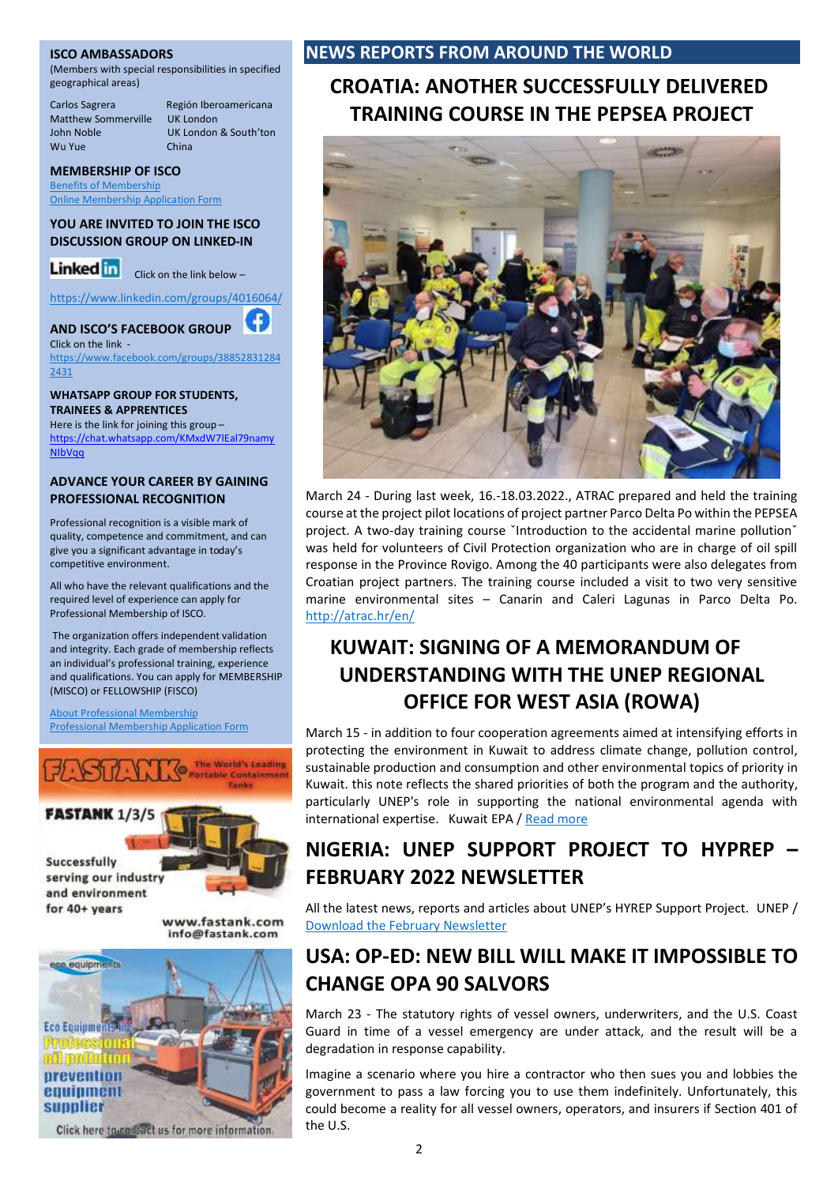#### **ISCO AMBASSADORS**

(Members with special responsibilities in specified geographical areas)

Matthew Sommerville<br>John Noble Wu Yue

Carlos Sagrera Región Iberoamericana<br>Matthew Sommerville UK London UK London & South'ton<br>China

#### **MEMBERSHIP OF ISCO**

[Benefits of Membership](https://spillcontrol.org/benefits-of-membership/) [Online Membership Application Form](https://spillcontrol.org/membership-application-form/)

#### **YOU ARE INVITED TO JOIN THE ISCO DISCUSSION GROUP ON LINKED-IN**

Linked in click on the link below -

<https://www.linkedin.com/groups/4016064/>

### **AND ISCO'S FACEBOOK GROUP**

Click on the link [https://www.facebook.com/groups/38852831284](https://www.facebook.com/groups/388528312842431) [2431](https://www.facebook.com/groups/388528312842431)

#### **WHATSAPP GROUP FOR STUDENTS, TRAINEES & APPRENTICES**

Here is the link for joining this group – [https://chat.whatsapp.com/KMxdW7lEal79namy](https://chat.whatsapp.com/KMxdW7lEal79namyNIbVqq) [NIbVqq](https://chat.whatsapp.com/KMxdW7lEal79namyNIbVqq)

#### **ADVANCE YOUR CAREER BY GAINING PROFESSIONAL RECOGNITION**

Professional recognition is a visible mark of quality, competence and commitment, and can give you a significant advantage in today's competitive environment.

All who have the relevant qualifications and the required level of experience can apply for Professional Membership of ISCO.

The organization offers independent validation and integrity. Each grade of membership reflects an individual's professional training, experience and qualifications. You can apply for MEMBERSHIP (MISCO) or FELLOWSHIP (FISCO)

[About Professional Membership](https://spillcontrol.org/about-professional-membership/) [Professional Membership Application Form](https://spillcontrol.org/professional-membership-application-form/)





www.fastank.com info@fastank.com



Click here to contract us for more information.

#### **NEWS REPORTS FROM AROUND THE WORLD**

## **CROATIA: ANOTHER SUCCESSFULLY DELIVERED TRAINING COURSE IN THE PEPSEA PROJECT**



March 24 - During last week, 16.-18.03.2022., ATRAC prepared and held the training course at the project pilot locations of project partner Parco Delta Po within the PEPSEA project. A two-day training course `Introduction to the accidental marine pollution` was held for volunteers of Civil Protection organization who are in charge of oil spill response in the Province Rovigo. Among the 40 participants were also delegates from Croatian project partners. The training course included a visit to two very sensitive marine environmental sites – Canarin and Caleri Lagunas in Parco Delta Po. <http://atrac.hr/en/>

## **KUWAIT: SIGNING OF A MEMORANDUM OF UNDERSTANDING WITH THE UNEP REGIONAL OFFICE FOR WEST ASIA (ROWA)**

March 15 - in addition to four cooperation agreements aimed at intensifying efforts in protecting the environment in Kuwait to address climate change, pollution control, sustainable production and consumption and other environmental topics of priority in Kuwait. this note reflects the shared priorities of both the program and the authority, particularly UNEP's role in supporting the national environmental agenda with international expertise. Kuwait EPA / [Read more](https://epa.org.kw/NewsArchive/Id/1188)

## **NIGERIA: UNEP SUPPORT PROJECT TO HYPREP – FEBRUARY 2022 NEWSLETTER**

All the latest news, reports and articles about UNEP's HYREP Support Project. UNEP / [Download the February Newsletter](https://drive.google.com/file/d/1ZwfAwpRmR4tmSyegOMSDZvPBtKab2RKr/view)

## **USA: OP-ED: NEW BILL WILL MAKE IT IMPOSSIBLE TO CHANGE OPA 90 SALVORS**

March 23 - The statutory rights of vessel owners, underwriters, and the U.S. Coast Guard in time of a vessel emergency are under attack, and the result will be a degradation in response capability.

Imagine a scenario where you hire a contractor who then sues you and lobbies the government to pass a law forcing you to use them indefinitely. Unfortunately, this could become a reality for all vessel owners, operators, and insurers if Section 401 of the U.S.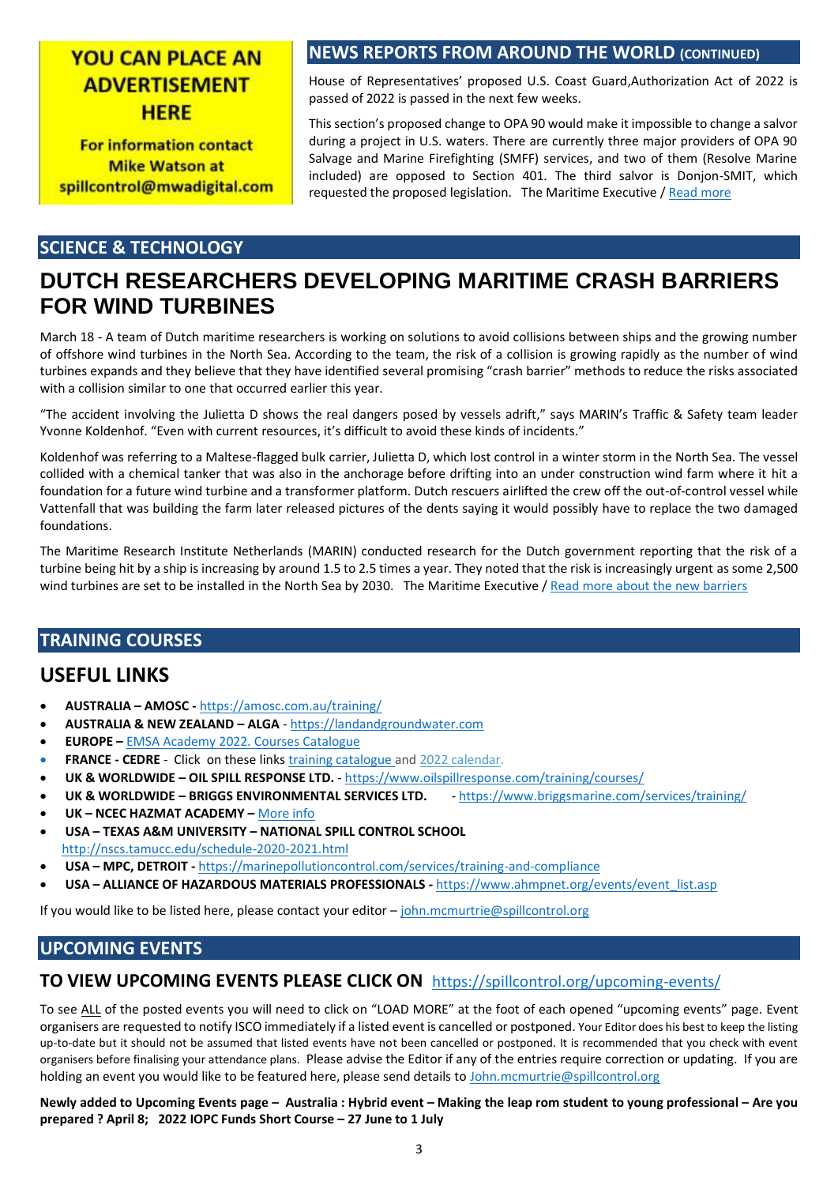## **YOU CAN PLACE AN ADVERTISEMENT HFRF**

**For information contact Mike Watson at** spillcontrol@mwadigital.com

### **NEWS REPORTS FROM AROUND THE WORLD (CONTINUED)**

House of Representatives' proposed U.S. Coast Guard,Authorization Act of 2022 is passed of 2022 is passed in the next few weeks.

This section's proposed change to OPA 90 would make it impossible to change a salvor during a project in U.S. waters. There are currently three major providers of OPA 90 Salvage and Marine Firefighting (SMFF) services, and two of them (Resolve Marine included) are opposed to Section 401. The third salvor is Donjon-SMIT, which requested the proposed legislation. The Maritime Executive / [Read more](https://www.maritime-executive.com/editorials/op-ed-new-bill-will-make-it-impossible-to-change-opa-90-salvors)

#### **SCIENCE & TECHNOLOGY**

## **DUTCH RESEARCHERS DEVELOPING MARITIME CRASH BARRIERS FOR WIND TURBINES**

March 18 - A team of Dutch maritime researchers is working on solutions to avoid collisions between ships and the growing number of offshore wind turbines in the North Sea. According to the team, the risk of a collision is growing rapidly as the number of wind turbines expands and they believe that they have identified several promising "crash barrier" methods to reduce the risks associated with a collision similar to one that occurred earlier this year.

"The accident involving the Julietta D shows the real dangers posed by vessels adrift," says MARIN's Traffic & Safety team leader Yvonne Koldenhof. "Even with current resources, it's difficult to avoid these kinds of incidents."

Koldenhof was referring to a Maltese-flagged bulk carrier, Julietta D, which lost control in a winter storm in the North Sea. The vessel collided with a chemical tanker that was also in the anchorage before drifting into an under construction wind farm where it hit a foundation for a future wind turbine and a transformer platform. Dutch rescuers airlifted the crew off the out-of-control vessel while Vattenfall that was building the farm later released pictures of the dents saying it would possibly have to replace the two damaged foundations.

The Maritime Research Institute Netherlands (MARIN) conducted research for the Dutch government reporting that the risk of a turbine being hit by a ship is increasing by around 1.5 to 2.5 times a year. They noted that the risk is increasingly urgent as some 2,500 wind turbines are set to be installed in the North Sea by 2030. The Maritime Executive / [Read more about the new barriers](https://www.maritime-executive.com/article/dutch-researchers-developing-maritime-crash-barriers-for-wind-turbines)

### **TRAINING COURSES**

## **USEFUL LINKS**

- **AUSTRALIA – AMOSC -** <https://amosc.com.au/training/>
- **AUSTRALIA & NEW ZEALAND – ALGA** [https://landandgroundwater.com](https://landandgroundwater.com/)
- **EUROPE –** [EMSA Academy 2022. Courses Catalogue](http://www.emsa.europa.eu/newsroom/latest-news/item/3609-emsa-training-catalogue-2019.html)
- **FRANCE - CEDRE** Click on these links [training catalogue](http://wwz.cedre.fr/en/content/download/8482/file/catalogue%20GB-formations%202020_nov2020.pdf) and [2022 calendar.](http://wwz.cedre.fr/en/content/download/10469/file/Calendrier2022_EN_endroitweb.pdf)
- **UK & WORLDWIDE – OIL SPILL RESPONSE LTD.** <https://www.oilspillresponse.com/training/courses/>
- **UK & WORLDWIDE – BRIGGS ENVIRONMENTAL SERVICES LTD.** <https://www.briggsmarine.com/services/training/>
- **UK – NCEC HAZMAT ACADEMY –** [More info](https://www.thehazmatacademy.co.uk/?utm_source=Ricardo-AEA%20Ltd&utm_medium=email&utm_campaign=12475516_NCEC%2FAC%2F8%20phase%20series%2Finvite%201%2FTA&dm_i=DA4,7FE64,40C68,U6990,1)
- **USA – TEXAS A&M UNIVERSITY – NATIONAL SPILL CONTROL SCHOOL** <http://nscs.tamucc.edu/schedule-2020-2021.html>
- **USA – MPC, DETROIT -** <https://marinepollutioncontrol.com/services/training-and-compliance>
- **USA – ALLIANCE OF HAZARDOUS MATERIALS PROFESSIONALS -** [https://www.ahmpnet.org/events/event\\_list.asp](https://www.ahmpnet.org/events/event_list.asp)

If you would like to be listed here, please contact your editor – [john.mcmurtrie@spillcontrol.org](mailto:john.mcmurtrie@spillcontrol.org)

## **UPCOMING EVENTS**

### **TO VIEW UPCOMING EVENTS PLEASE CLICK ON** <https://spillcontrol.org/upcoming-events/>

To see ALL of the posted events you will need to click on "LOAD MORE" at the foot of each opened "upcoming events" page. Event organisers are requested to notify ISCO immediately if a listed event is cancelled or postponed. Your Editor does his best to keep the listing up-to-date but it should not be assumed that listed events have not been cancelled or postponed. It is recommended that you check with event organisers before finalising your attendance plans. Please advise the Editor if any of the entries require correction or updating. If you are holding an event you would like to be featured here, please send details to John.mcmurtrie@spillcontrol.org

**Newly added to Upcoming Events page – Australia : Hybrid event – Making the leap rom student to young professional – Are you prepared ? April 8; 2022 IOPC Funds Short Course – 27 June to 1 July**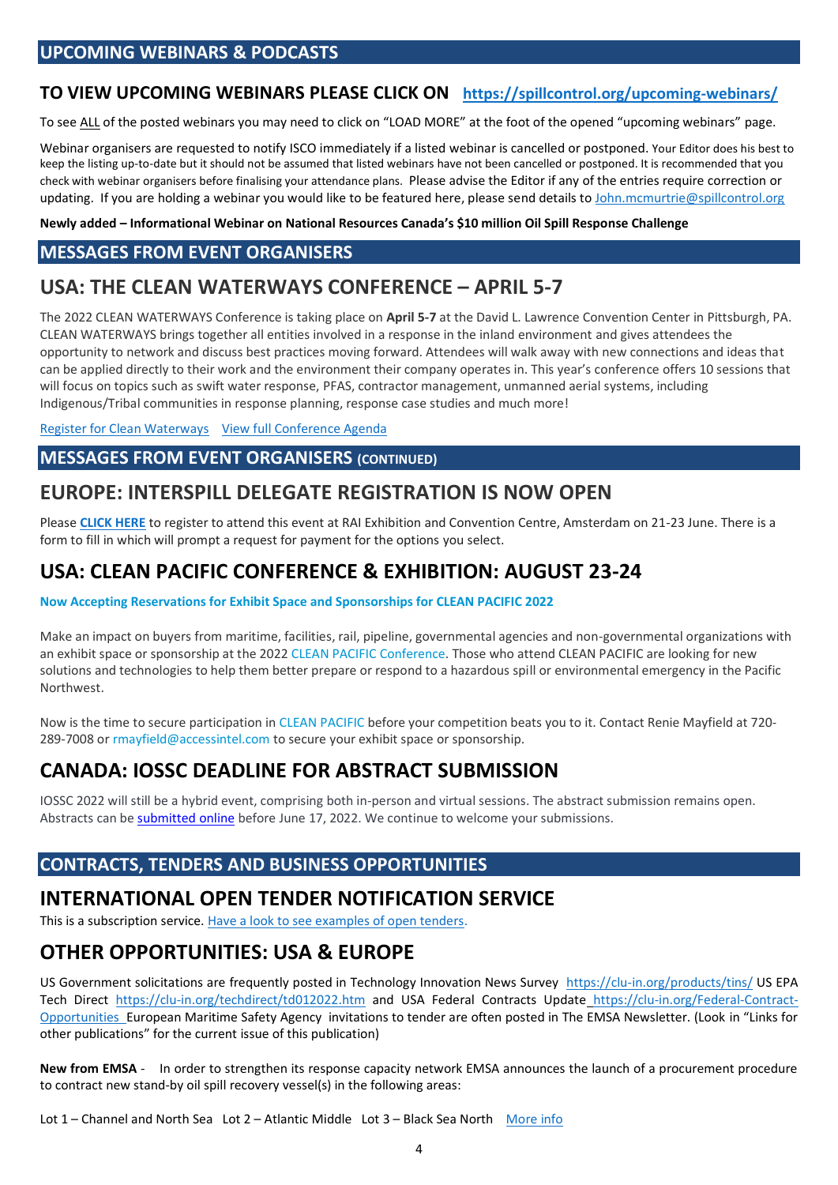## **TO VIEW UPCOMING WEBINARS PLEASE CLICK ON <https://spillcontrol.org/upcoming-webinars/>**

To see ALL of the posted webinars you may need to click on "LOAD MORE" at the foot of the opened "upcoming webinars" page.

Webinar organisers are requested to notify ISCO immediately if a listed webinar is cancelled or postponed. Your Editor does his best to keep the listing up-to-date but it should not be assumed that listed webinars have not been cancelled or postponed. It is recommended that you check with webinar organisers before finalising your attendance plans. Please advise the Editor if any of the entries require correction or updating. If you are holding a webinar you would like to be featured here, please send details to [John.mcmurtrie@spillcontrol.org](mailto:John.mcmurtrie@spillcontrol.org)

**Newly added – Informational Webinar on National Resources Canada's \$10 million Oil Spill Response Challenge**

## **MESSAGES FROM EVENT ORGANISERS**

## **USA: THE CLEAN WATERWAYS CONFERENCE – APRIL 5-7**

The 2022 CLEAN WATERWAYS Conference is taking place on **April 5-7** at the David L. Lawrence Convention Center in Pittsburgh, PA. CLEAN WATERWAYS brings together all entities involved in a response in the inland environment and gives attendees the opportunity to network and discuss best practices moving forward. Attendees will walk away with new connections and ideas that can be applied directly to their work and the environment their company operates in. This year's conference offers 10 sessions that will focus on topics such as swift water response, PFAS, contractor management, unmanned aerial systems, including Indigenous/Tribal communities in response planning, response case studies and much more!

[Register for Clean Waterways](https://na.eventscloud.com/ereg/index.php?eventid=636145&discountcode=KEYNOTE&utm_source=omeda&utm_medium=email&utm_campaign=keynote-announcement) [View full Conference Agenda](https://www.cleanwaterwaysevent.org/preliminary-session-outline/?utm_source=omeda&utm_medium=email&utm_campaign=keynote-announcement&oly_enc_id=1572I4157245C3V) 

#### **MESSAGES FROM EVENT ORGANISERS (CONTINUED)**

## **EUROPE: INTERSPILL DELEGATE REGISTRATION IS NOW OPEN**

Please **[CLICK HERE](https://interspill.us6.list-manage.com/track/click?u=4844a43d0141f75a06ed9d7eb&id=811901adb8&e=c0ad2f236b)** to register to attend this event at RAI Exhibition and Convention Centre, Amsterdam on 21-23 June. There is a form to fill in which will prompt a request for payment for the options you select.

## **USA: CLEAN PACIFIC CONFERENCE & EXHIBITION: AUGUST 23-24**

#### **Now Accepting Reservations for Exhibit Space and Sponsorships for CLEAN PACIFIC 2022**

Make an impact on buyers from maritime, facilities, rail, pipeline, governmental agencies and non-governmental organizations with an exhibit space or sponsorship at the 2022 [CLEAN PACIFIC Conference.](https://ai.omeclk.com/portal/wts/ucmcmsbznb2bbEs-Dcy8nrydf%7C08B%7CaB6Yjs0dvHMnp) Those who attend CLEAN PACIFIC are looking for new solutions and technologies to help them better prepare or respond to a hazardous spill or environmental emergency in the Pacific Northwest.

Now is the time to secure participation i[n CLEAN PACIFIC](https://ai.omeclk.com/portal/wts/ucmcmsbznb2bbEs-Dcy8nr2df%7C08B%7CaB6Yjs0dvHMnp) before your competition beats you to it. Contact Renie Mayfield at 720 289-7008 or [rmayfield@accessintel.com](https://ai.omeclk.com/portal/wts/ugmcmsbznb2bbEs-Dcy8nr6df%7C08B%7Ca) to secure your exhibit space or sponsorship.

## **CANADA: IOSSC DEADLINE FOR ABSTRACT SUBMISSION**

IOSSC 2022 will still be a hybrid event, comprising both in-person and virtual sessions. The abstract submission remains open. Abstracts can b[e submitted online](https://sites.events.concordia.ca/sites/mpri/en/international-oil-spill-science-conference-2022/call_for_submissions/7) before June 17, 2022. We continue to welcome your submissions.

### **CONTRACTS, TENDERS AND BUSINESS OPPORTUNITIES**

## **INTERNATIONAL OPEN TENDER NOTIFICATION SERVICE**

This is a subscription service[. Have a look to see examples of open tenders.](https://www.tender247.com/keyword/oil+spill+GlobalTenders)

## **OTHER OPPORTUNITIES: USA & EUROPE**

US Government solicitations are frequently posted in Technology Innovation News Survey <https://clu-in.org/products/tins/> US EPA Tech Direct <https://clu-in.org/techdirect/td012022.htm> and USA Federal Contracts Update [https://clu-in.org/Federal-Contract-](https://clu-in.org/Federal-Contract-Opportunities)[Opportunities](https://clu-in.org/Federal-Contract-Opportunities) European Maritime Safety Agency invitations to tender are often posted in The EMSA Newsletter. (Look in "Links for other publications" for the current issue of this publication)

**New from EMSA** - In order to strengthen its response capacity network EMSA announces the launch of a procurement procedure to contract new stand-by oil spill recovery vessel(s) in the following areas:

Lot 1 – Channel and North Sea Lot 2 – Atlantic Middle Lot 3 – Black Sea North [More info](http://emsa.europa.eu/procurement/calls/item/4666-emsa-cpneg-3-2022.html)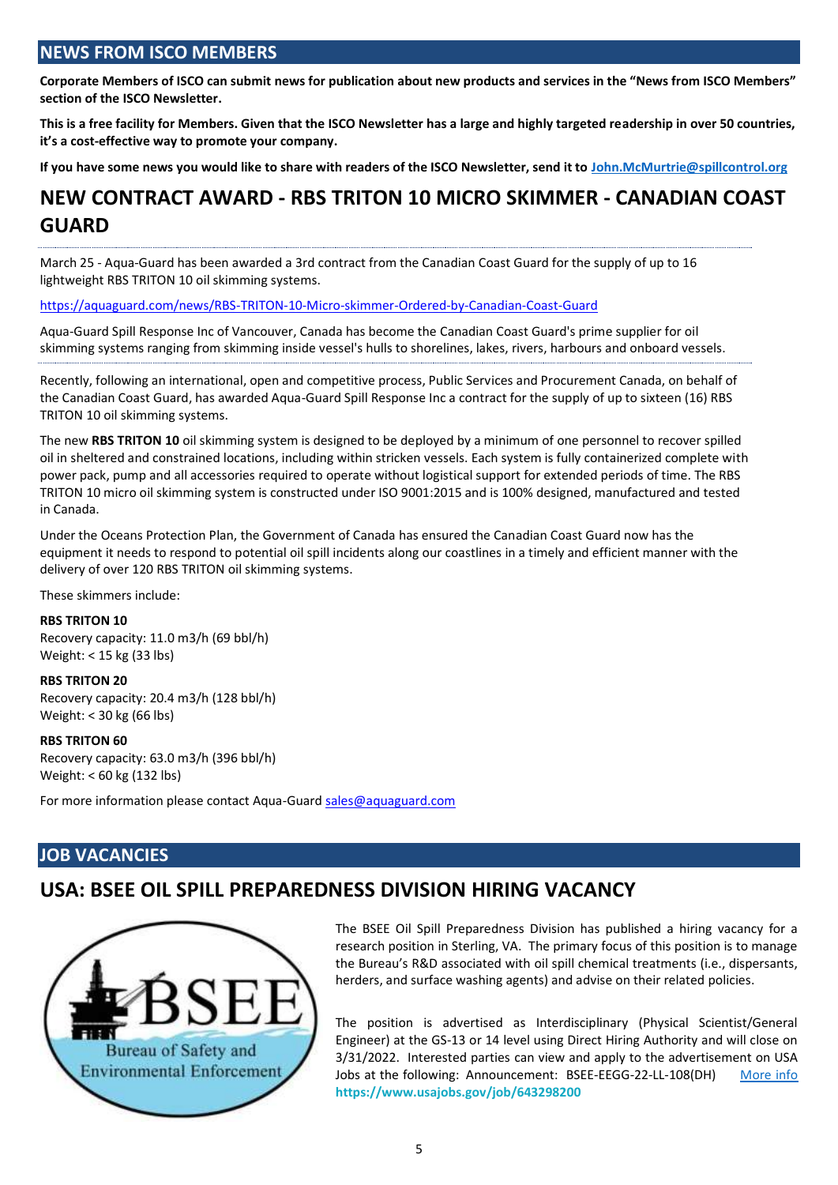## **NEWS FROM ISCO MEMBERS**

**Corporate Members of ISCO can submit news for publication about new products and services in the "News from ISCO Members" section of the ISCO Newsletter.** 

**This is a free facility for Members. Given that the ISCO Newsletter has a large and highly targeted readership in over 50 countries, it's a cost-effective way to promote your company.** 

**If you have some news you would like to share with readers of the ISCO Newsletter, send it to [John.McMurtrie@spillcontrol.org](mailto:John.McMurtrie@spillcontrol.org)**

## **NEW CONTRACT AWARD - RBS TRITON 10 MICRO SKIMMER - CANADIAN COAST GUARD**

March 25 - Aqua-Guard has been awarded a 3rd contract from the Canadian Coast Guard for the supply of up to 16 lightweight RBS TRITON 10 oil skimming systems.

<https://aquaguard.com/news/RBS-TRITON-10-Micro-skimmer-Ordered-by-Canadian-Coast-Guard>

Aqua-Guard Spill Response Inc of Vancouver, Canada has become the Canadian Coast Guard's prime supplier for oil skimming systems ranging from skimming inside vessel's hulls to shorelines, lakes, rivers, harbours and onboard vessels.

Recently, following an international, open and competitive process, Public Services and Procurement Canada, on behalf of the Canadian Coast Guard, has awarded Aqua-Guard Spill Response Inc a contract for the supply of up to sixteen (16) RBS TRITON 10 oil skimming systems.

The new **RBS TRITON 10** oil skimming system is designed to be deployed by a minimum of one personnel to recover spilled oil in sheltered and constrained locations, including within stricken vessels. Each system is fully containerized complete with power pack, pump and all accessories required to operate without logistical support for extended periods of time. The RBS TRITON 10 micro oil skimming system is constructed under ISO 9001:2015 and is 100% designed, manufactured and tested in Canada.

Under the Oceans Protection Plan, the Government of Canada has ensured the Canadian Coast Guard now has the equipment it needs to respond to potential oil spill incidents along our coastlines in a timely and efficient manner with the delivery of over 120 RBS TRITON oil skimming systems.

These skimmers include:

#### **RBS TRITON 10**

Recovery capacity: 11.0 m3/h (69 bbl/h) Weight: < 15 kg (33 lbs)

**RBS TRITON 20**

Recovery capacity: 20.4 m3/h (128 bbl/h) Weight: < 30 kg (66 lbs)

#### **RBS TRITON 60**

Recovery capacity: 63.0 m3/h (396 bbl/h) Weight: < 60 kg (132 lbs)

For more information please contact Aqua-Guard [sales@aquaguard.com](mailto:sales@aquaguard.com)

### **JOB VACANCIES**

## **USA: BSEE OIL SPILL PREPAREDNESS DIVISION HIRING VACANCY**



The BSEE Oil Spill Preparedness Division has published a hiring vacancy for a research position in Sterling, VA. The primary focus of this position is to manage the Bureau's R&D associated with oil spill chemical treatments (i.e., dispersants, herders, and surface washing agents) and advise on their related policies.

The position is advertised as Interdisciplinary (Physical Scientist/General Engineer) at the GS-13 or 14 level using Direct Hiring Authority and will close on 3/31/2022. Interested parties can view and apply to the advertisement on USA Jobs at the following: Announcement: BSEE-EEGG-22-LL-108(DH) [More info](https://spillcontrol.org/2013/02/04/job-vacancies/) **<https://www.usajobs.gov/job/643298200>**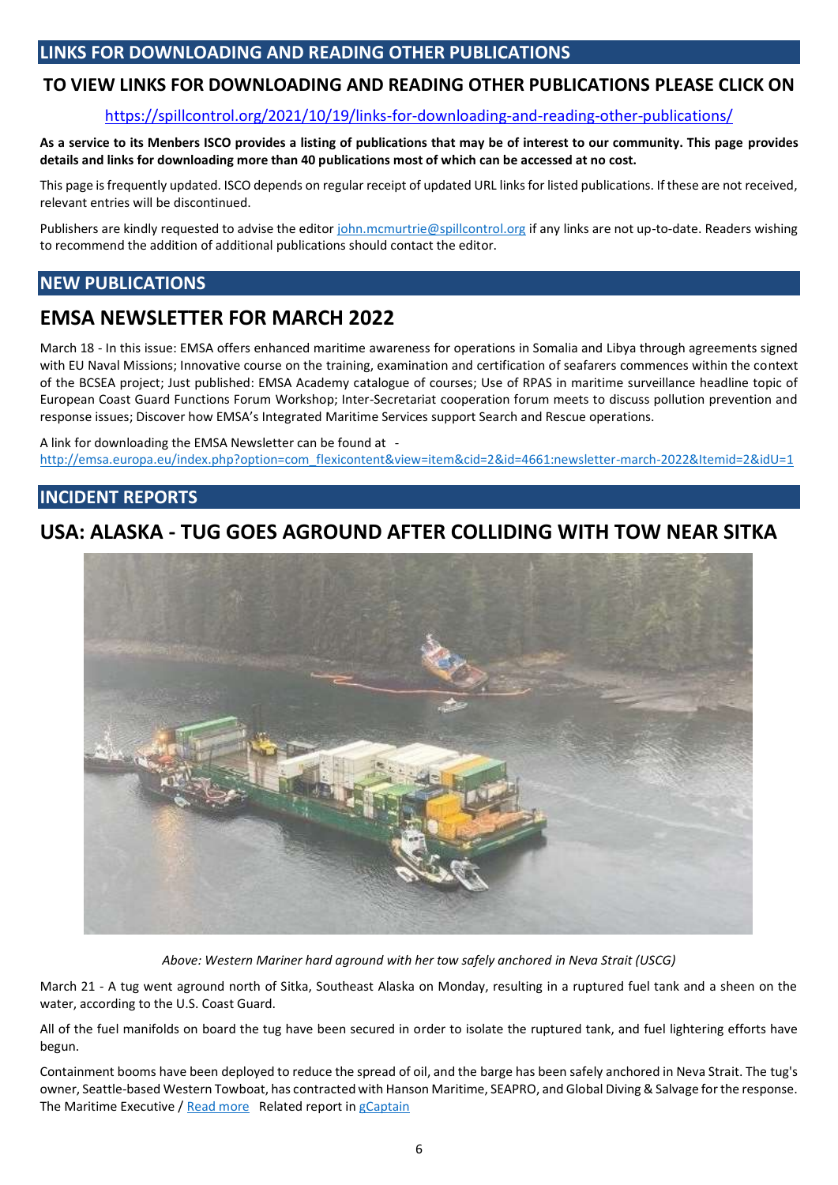## **LINKS FOR DOWNLOADING AND READING OTHER PUBLICATIONS**

### **TO VIEW LINKS FOR DOWNLOADING AND READING OTHER PUBLICATIONS PLEASE CLICK ON**

#### <https://spillcontrol.org/2021/10/19/links-for-downloading-and-reading-other-publications/>

**As a service to its Menbers ISCO provides a listing of publications that may be of interest to our community. This page provides details and links for downloading more than 40 publications most of which can be accessed at no cost.** 

This page is frequently updated. ISCO depends on regular receipt of updated URL links for listed publications. If these are not received, relevant entries will be discontinued.

Publishers are kindly requested to advise the edito[r john.mcmurtrie@spillcontrol.org](mailto:john.mcmurtrie@spillcontrol.org) if any links are not up-to-date. Readers wishing to recommend the addition of additional publications should contact the editor.

### **NEW PUBLICATIONS**

## **EMSA NEWSLETTER FOR MARCH 2022**

March 18 - In this issue: EMSA offers enhanced maritime awareness for operations in Somalia and Libya through agreements signed with EU Naval Missions; Innovative course on the training, examination and certification of seafarers commences within the context of the BCSEA project; Just published: EMSA Academy catalogue of courses; Use of RPAS in maritime surveillance headline topic of European Coast Guard Functions Forum Workshop; Inter-Secretariat cooperation forum meets to discuss pollution prevention and response issues; Discover how EMSA's Integrated Maritime Services support Search and Rescue operations.

A link for downloading the EMSA Newsletter can be found at [http://emsa.europa.eu/index.php?option=com\\_flexicontent&view=item&cid=2&id=4661:newsletter-march-2022&Itemid=2&idU=1](http://emsa.europa.eu/index.php?option=com_flexicontent&view=item&cid=2&id=4661:newsletter-march-2022&Itemid=2&idU=1)

### **INCIDENT REPORTS**

## **USA: ALASKA - TUG GOES AGROUND AFTER COLLIDING WITH TOW NEAR SITKA**



*Above: Western Mariner hard aground with her tow safely anchored in Neva Strait (USCG)*

March 21 - A tug went aground north of Sitka, Southeast Alaska on Monday, resulting in a ruptured fuel tank and a sheen on the water, according to the U.S. Coast Guard.

All of the fuel manifolds on board the tug have been secured in order to isolate the ruptured tank, and fuel lightering efforts have begun.

Containment booms have been deployed to reduce the spread of oil, and the barge has been safely anchored in Neva Strait. The tug's owner, Seattle-based Western Towboat, has contracted with Hanson Maritime, SEAPRO, and Global Diving & Salvage for the response. The Maritime Executive / [Read more](https://www.maritime-executive.com/article/photos-tug-goes-aground-after-colliding-with-tow-off-baranof-island) Related report i[n gCaptain](https://gcaptain.com/western-mariner-tug-grounding/?subscriber=true&goal=0_f50174ef03-263e967dd0-139903897&mc_cid=263e967dd0&mc_eid=432e1339aa)